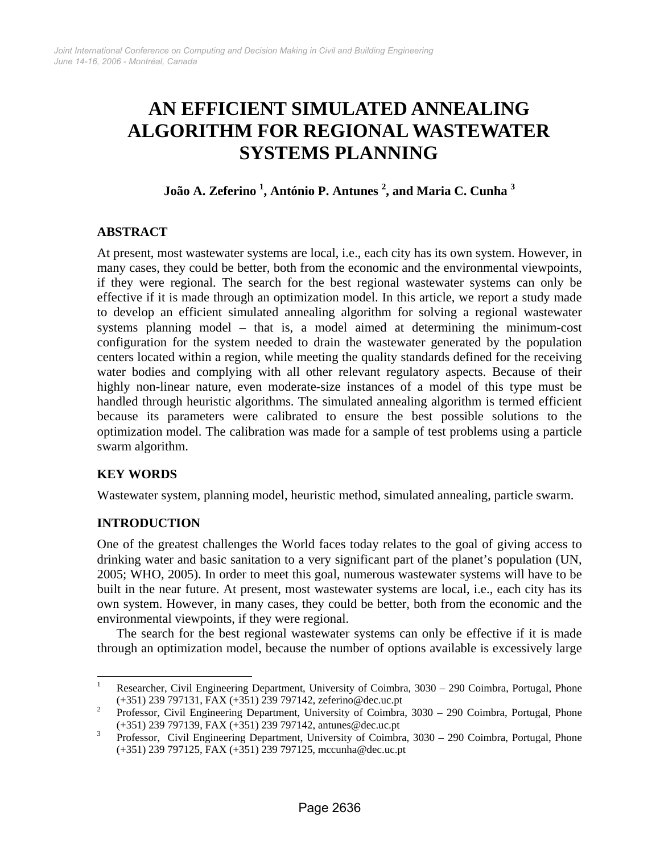# **AN EFFICIENT SIMULATED ANNEALING ALGORITHM FOR REGIONAL WASTEWATER SYSTEMS PLANNING**

# **João A. Zeferino 1 , António P. Antunes <sup>2</sup> , and Maria C. Cunha <sup>3</sup>**

# **ABSTRACT**

At present, most wastewater systems are local, i.e., each city has its own system. However, in many cases, they could be better, both from the economic and the environmental viewpoints, if they were regional. The search for the best regional wastewater systems can only be effective if it is made through an optimization model. In this article, we report a study made to develop an efficient simulated annealing algorithm for solving a regional wastewater systems planning model – that is, a model aimed at determining the minimum-cost configuration for the system needed to drain the wastewater generated by the population centers located within a region, while meeting the quality standards defined for the receiving water bodies and complying with all other relevant regulatory aspects. Because of their highly non-linear nature, even moderate-size instances of a model of this type must be handled through heuristic algorithms. The simulated annealing algorithm is termed efficient because its parameters were calibrated to ensure the best possible solutions to the optimization model. The calibration was made for a sample of test problems using a particle swarm algorithm.

## **KEY WORDS**

 $\overline{a}$ 

Wastewater system, planning model, heuristic method, simulated annealing, particle swarm.

## **INTRODUCTION**

One of the greatest challenges the World faces today relates to the goal of giving access to drinking water and basic sanitation to a very significant part of the planet's population (UN, 2005; WHO, 2005). In order to meet this goal, numerous wastewater systems will have to be built in the near future. At present, most wastewater systems are local, i.e., each city has its own system. However, in many cases, they could be better, both from the economic and the environmental viewpoints, if they were regional.

The search for the best regional wastewater systems can only be effective if it is made through an optimization model, because the number of options available is excessively large

<sup>1</sup> Researcher, Civil Engineering Department, University of Coimbra, 3030 – 290 Coimbra, Portugal, Phone (+351) 239 797131, FAX (+351) 239 797142, zeferino@dec.uc.pt 2

Professor, Civil Engineering Department, University of Coimbra, 3030 – 290 Coimbra, Portugal, Phone  $(+351)$  239 797139, FAX  $(+351)$  239 797142, antunes@dec.uc.pt

Professor, Civil Engineering Department, University of Coimbra, 3030 – 290 Coimbra, Portugal, Phone (+351) 239 797125, FAX (+351) 239 797125, mccunha@dec.uc.pt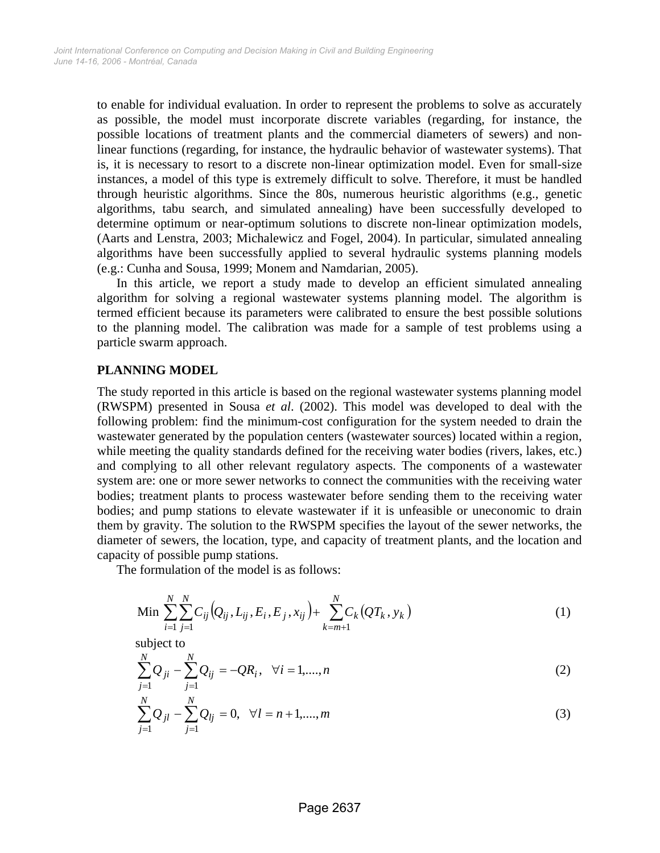to enable for individual evaluation. In order to represent the problems to solve as accurately as possible, the model must incorporate discrete variables (regarding, for instance, the possible locations of treatment plants and the commercial diameters of sewers) and nonlinear functions (regarding, for instance, the hydraulic behavior of wastewater systems). That is, it is necessary to resort to a discrete non-linear optimization model. Even for small-size instances, a model of this type is extremely difficult to solve. Therefore, it must be handled through heuristic algorithms. Since the 80s, numerous heuristic algorithms (e.g., genetic algorithms, tabu search, and simulated annealing) have been successfully developed to determine optimum or near-optimum solutions to discrete non-linear optimization models, (Aarts and Lenstra, 2003; Michalewicz and Fogel, 2004). In particular, simulated annealing algorithms have been successfully applied to several hydraulic systems planning models (e.g.: Cunha and Sousa, 1999; Monem and Namdarian, 2005).

In this article, we report a study made to develop an efficient simulated annealing algorithm for solving a regional wastewater systems planning model. The algorithm is termed efficient because its parameters were calibrated to ensure the best possible solutions to the planning model. The calibration was made for a sample of test problems using a particle swarm approach.

#### **PLANNING MODEL**

The study reported in this article is based on the regional wastewater systems planning model (RWSPM) presented in Sousa *et al*. (2002). This model was developed to deal with the following problem: find the minimum-cost configuration for the system needed to drain the wastewater generated by the population centers (wastewater sources) located within a region, while meeting the quality standards defined for the receiving water bodies (rivers, lakes, etc.) and complying to all other relevant regulatory aspects. The components of a wastewater system are: one or more sewer networks to connect the communities with the receiving water bodies; treatment plants to process wastewater before sending them to the receiving water bodies; and pump stations to elevate wastewater if it is unfeasible or uneconomic to drain them by gravity. The solution to the RWSPM specifies the layout of the sewer networks, the diameter of sewers, the location, type, and capacity of treatment plants, and the location and capacity of possible pump stations.

The formulation of the model is as follows:

Min 
$$
\sum_{i=1}^{N} \sum_{j=1}^{N} C_{ij} (Q_{ij}, L_{ij}, E_i, E_j, x_{ij}) + \sum_{k=m+1}^{N} C_k (QT_k, y_k)
$$
 (1)

subject to

$$
\sum_{j=1}^{N} Q_{ji} - \sum_{j=1}^{N} Q_{ij} = -QR_i, \quad \forall i = 1, ..., n
$$
 (2)

$$
\sum_{j=1}^{N} Q_{jl} - \sum_{j=1}^{N} Q_{lj} = 0, \quad \forall l = n+1, \dots, m
$$
\n(3)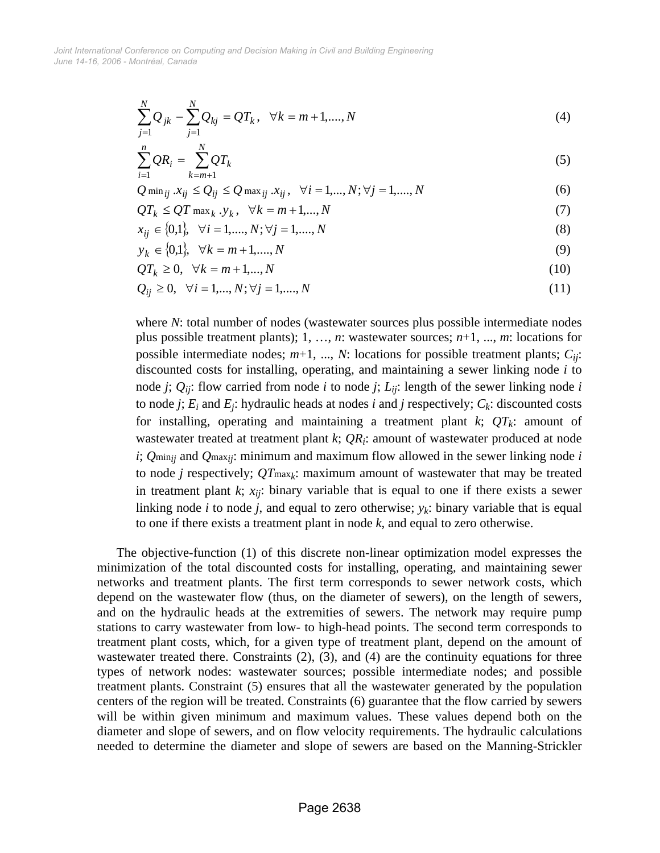*June 14-16, 2006 - Montréal, Canada Joint International Conference on Computing and Decision Making in Civil and Building Engineering*

$$
\sum_{j=1}^{N} Q_{jk} - \sum_{j=1}^{N} Q_{kj} = QT_k, \quad \forall k = m+1, ..., N
$$
\n(4)

$$
\sum_{i=1}^{n} QR_i = \sum_{k=m+1}^{N} QT_k
$$
\n(5)

$$
Q \min_{ij} x_{ij} \le Q_{ij} \le Q \max_{ij} x_{ij}, \quad \forall i = 1,..., N; \forall j = 1,..., N
$$
 (6)

$$
QT_k \le QT \max_k y_k, \quad \forall k = m+1,...,N \tag{7}
$$

$$
x_{ij} \in \{0,1\}, \quad \forall i = 1, \dots, N; \forall j = 1, \dots, N
$$
\n(8)

$$
y_k \in \{0, 1\}, \quad \forall k = m + 1, \dots, N \tag{9}
$$

$$
QT_k \ge 0, \quad \forall k = m+1,\dots,N
$$
\n<sup>(10)</sup>

$$
Q_{ij} \ge 0, \quad \forall i = 1, ..., N; \forall j = 1, ..., N
$$
\n(11)

where *N*: total number of nodes (wastewater sources plus possible intermediate nodes plus possible treatment plants); 1, …, *n*: wastewater sources; *n*+1, ..., *m*: locations for possible intermediate nodes;  $m+1$ , ..., *N*: locations for possible treatment plants;  $C_{ij}$ : discounted costs for installing, operating, and maintaining a sewer linking node *i* to node *j*;  $Q_{ii}$ : flow carried from node *i* to node *j*;  $L_{ii}$ : length of the sewer linking node *i* to node *j*;  $E_i$  and  $E_j$ : hydraulic heads at nodes *i* and *j* respectively;  $C_k$ : discounted costs for installing, operating and maintaining a treatment plant  $k$ ;  $QT_k$ : amount of wastewater treated at treatment plant *k*; *QR<sub>i</sub>*: amount of wastewater produced at node *i*; *Q*min*ij* and *Q*max*ij*: minimum and maximum flow allowed in the sewer linking node *i* to node *j* respectively; *QT*max*k*: maximum amount of wastewater that may be treated in treatment plant  $k$ ;  $x_{ij}$ : binary variable that is equal to one if there exists a sewer linking node *i* to node *j*, and equal to zero otherwise;  $y_k$ : binary variable that is equal to one if there exists a treatment plant in node *k*, and equal to zero otherwise.

The objective-function (1) of this discrete non-linear optimization model expresses the minimization of the total discounted costs for installing, operating, and maintaining sewer networks and treatment plants. The first term corresponds to sewer network costs, which depend on the wastewater flow (thus, on the diameter of sewers), on the length of sewers, and on the hydraulic heads at the extremities of sewers. The network may require pump stations to carry wastewater from low- to high-head points. The second term corresponds to treatment plant costs, which, for a given type of treatment plant, depend on the amount of wastewater treated there. Constraints (2), (3), and (4) are the continuity equations for three types of network nodes: wastewater sources; possible intermediate nodes; and possible treatment plants. Constraint (5) ensures that all the wastewater generated by the population centers of the region will be treated. Constraints (6) guarantee that the flow carried by sewers will be within given minimum and maximum values. These values depend both on the diameter and slope of sewers, and on flow velocity requirements. The hydraulic calculations needed to determine the diameter and slope of sewers are based on the Manning-Strickler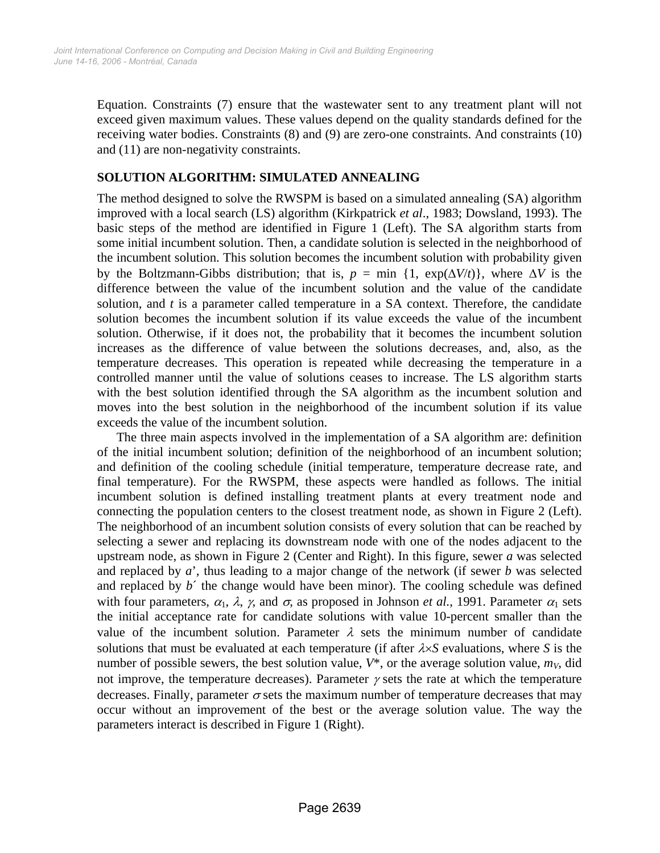Equation. Constraints (7) ensure that the wastewater sent to any treatment plant will not exceed given maximum values. These values depend on the quality standards defined for the receiving water bodies. Constraints (8) and (9) are zero-one constraints. And constraints (10) and (11) are non-negativity constraints.

## **SOLUTION ALGORITHM: SIMULATED ANNEALING**

The method designed to solve the RWSPM is based on a simulated annealing (SA) algorithm improved with a local search (LS) algorithm (Kirkpatrick *et al*., 1983; Dowsland, 1993). The basic steps of the method are identified in Figure 1 (Left). The SA algorithm starts from some initial incumbent solution. Then, a candidate solution is selected in the neighborhood of the incumbent solution. This solution becomes the incumbent solution with probability given by the Boltzmann-Gibbs distribution; that is,  $p = \min \{1, \exp(\Delta V/t)\}\)$ , where  $\Delta V$  is the difference between the value of the incumbent solution and the value of the candidate solution, and *t* is a parameter called temperature in a SA context. Therefore, the candidate solution becomes the incumbent solution if its value exceeds the value of the incumbent solution. Otherwise, if it does not, the probability that it becomes the incumbent solution increases as the difference of value between the solutions decreases, and, also, as the temperature decreases. This operation is repeated while decreasing the temperature in a controlled manner until the value of solutions ceases to increase. The LS algorithm starts with the best solution identified through the SA algorithm as the incumbent solution and moves into the best solution in the neighborhood of the incumbent solution if its value exceeds the value of the incumbent solution.

The three main aspects involved in the implementation of a SA algorithm are: definition of the initial incumbent solution; definition of the neighborhood of an incumbent solution; and definition of the cooling schedule (initial temperature, temperature decrease rate, and final temperature). For the RWSPM, these aspects were handled as follows. The initial incumbent solution is defined installing treatment plants at every treatment node and connecting the population centers to the closest treatment node, as shown in Figure 2 (Left). The neighborhood of an incumbent solution consists of every solution that can be reached by selecting a sewer and replacing its downstream node with one of the nodes adjacent to the upstream node, as shown in Figure 2 (Center and Right). In this figure, sewer *a* was selected and replaced by *a*', thus leading to a major change of the network (if sewer *b* was selected and replaced by  $b'$  the change would have been minor). The cooling schedule was defined with four parameters,  $\alpha_1$ ,  $\lambda$ ,  $\gamma$ , and  $\sigma$ , as proposed in Johnson *et al.*, 1991. Parameter  $\alpha_1$  sets the initial acceptance rate for candidate solutions with value 10-percent smaller than the value of the incumbent solution. Parameter  $\lambda$  sets the minimum number of candidate solutions that must be evaluated at each temperature (if after  $\lambda \times S$  evaluations, where *S* is the number of possible sewers, the best solution value,  $V^*$ , or the average solution value,  $m_V$ , did not improve, the temperature decreases). Parameter  $\gamma$  sets the rate at which the temperature decreases. Finally, parameter  $\sigma$  sets the maximum number of temperature decreases that may occur without an improvement of the best or the average solution value. The way the parameters interact is described in Figure 1 (Right).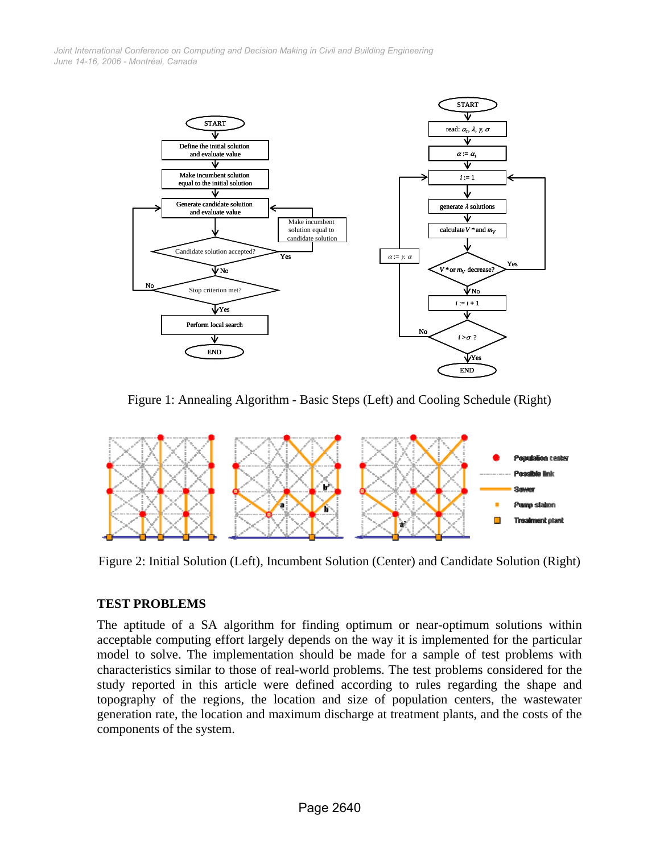*June 14-16, 2006 - Montréal, Canada Joint International Conference on Computing and Decision Making in Civil and Building Engineering*



Figure 1: Annealing Algorithm - Basic Steps (Left) and Cooling Schedule (Right)



Figure 2: Initial Solution (Left), Incumbent Solution (Center) and Candidate Solution (Right)

#### **TEST PROBLEMS**

The aptitude of a SA algorithm for finding optimum or near-optimum solutions within acceptable computing effort largely depends on the way it is implemented for the particular model to solve. The implementation should be made for a sample of test problems with characteristics similar to those of real-world problems. The test problems considered for the study reported in this article were defined according to rules regarding the shape and topography of the regions, the location and size of population centers, the wastewater generation rate, the location and maximum discharge at treatment plants, and the costs of the components of the system.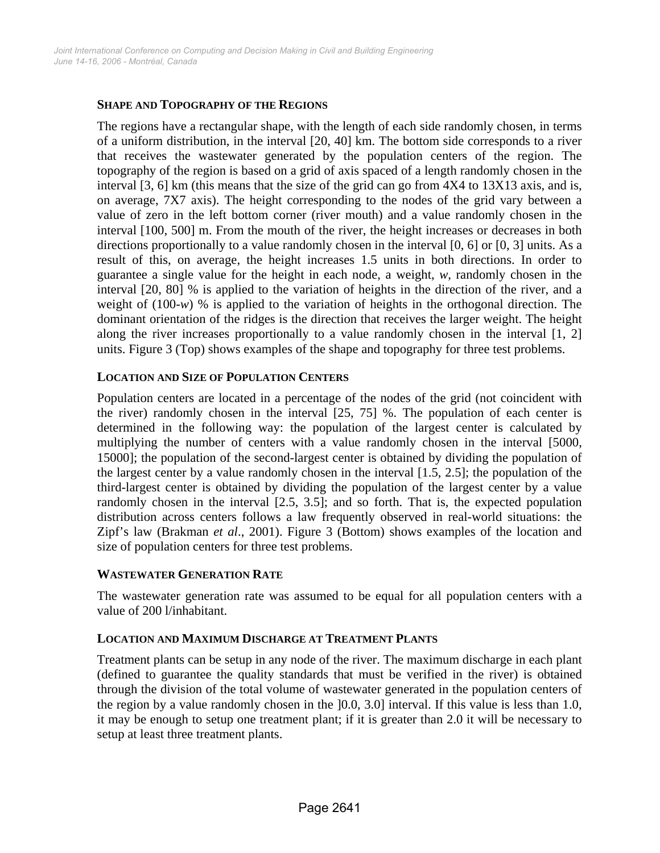## **SHAPE AND TOPOGRAPHY OF THE REGIONS**

The regions have a rectangular shape, with the length of each side randomly chosen, in terms of a uniform distribution, in the interval [20, 40] km. The bottom side corresponds to a river that receives the wastewater generated by the population centers of the region. The topography of the region is based on a grid of axis spaced of a length randomly chosen in the interval [3, 6] km (this means that the size of the grid can go from 4X4 to 13X13 axis, and is, on average, 7X7 axis). The height corresponding to the nodes of the grid vary between a value of zero in the left bottom corner (river mouth) and a value randomly chosen in the interval [100, 500] m. From the mouth of the river, the height increases or decreases in both directions proportionally to a value randomly chosen in the interval [0, 6] or [0, 3] units. As a result of this, on average, the height increases 1.5 units in both directions. In order to guarantee a single value for the height in each node, a weight, *w*, randomly chosen in the interval [20, 80] % is applied to the variation of heights in the direction of the river, and a weight of (100-*w*) % is applied to the variation of heights in the orthogonal direction. The dominant orientation of the ridges is the direction that receives the larger weight. The height along the river increases proportionally to a value randomly chosen in the interval [1, 2] units. Figure 3 (Top) shows examples of the shape and topography for three test problems.

### **LOCATION AND SIZE OF POPULATION CENTERS**

Population centers are located in a percentage of the nodes of the grid (not coincident with the river) randomly chosen in the interval [25, 75] %. The population of each center is determined in the following way: the population of the largest center is calculated by multiplying the number of centers with a value randomly chosen in the interval [5000, 15000]; the population of the second-largest center is obtained by dividing the population of the largest center by a value randomly chosen in the interval [1.5, 2.5]; the population of the third-largest center is obtained by dividing the population of the largest center by a value randomly chosen in the interval [2.5, 3.5]; and so forth. That is, the expected population distribution across centers follows a law frequently observed in real-world situations: the Zipf's law (Brakman *et al*., 2001). Figure 3 (Bottom) shows examples of the location and size of population centers for three test problems.

#### **WASTEWATER GENERATION RATE**

The wastewater generation rate was assumed to be equal for all population centers with a value of 200 l/inhabitant.

#### **LOCATION AND MAXIMUM DISCHARGE AT TREATMENT PLANTS**

Treatment plants can be setup in any node of the river. The maximum discharge in each plant (defined to guarantee the quality standards that must be verified in the river) is obtained through the division of the total volume of wastewater generated in the population centers of the region by a value randomly chosen in the ]0.0, 3.0] interval. If this value is less than 1.0, it may be enough to setup one treatment plant; if it is greater than 2.0 it will be necessary to setup at least three treatment plants.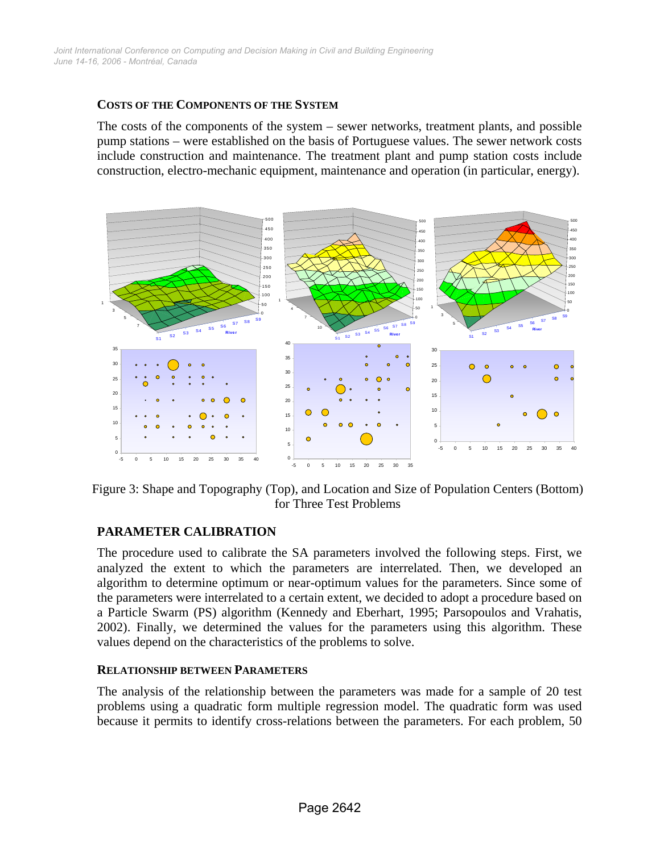#### **COSTS OF THE COMPONENTS OF THE SYSTEM**

The costs of the components of the system – sewer networks, treatment plants, and possible pump stations – were established on the basis of Portuguese values. The sewer network costs include construction and maintenance. The treatment plant and pump station costs include construction, electro-mechanic equipment, maintenance and operation (in particular, energy).



Figure 3: Shape and Topography (Top), and Location and Size of Population Centers (Bottom) for Three Test Problems

#### **PARAMETER CALIBRATION**

The procedure used to calibrate the SA parameters involved the following steps. First, we analyzed the extent to which the parameters are interrelated. Then, we developed an algorithm to determine optimum or near-optimum values for the parameters. Since some of the parameters were interrelated to a certain extent, we decided to adopt a procedure based on a Particle Swarm (PS) algorithm (Kennedy and Eberhart, 1995; Parsopoulos and Vrahatis, 2002). Finally, we determined the values for the parameters using this algorithm. These values depend on the characteristics of the problems to solve.

#### **RELATIONSHIP BETWEEN PARAMETERS**

The analysis of the relationship between the parameters was made for a sample of 20 test problems using a quadratic form multiple regression model. The quadratic form was used because it permits to identify cross-relations between the parameters. For each problem, 50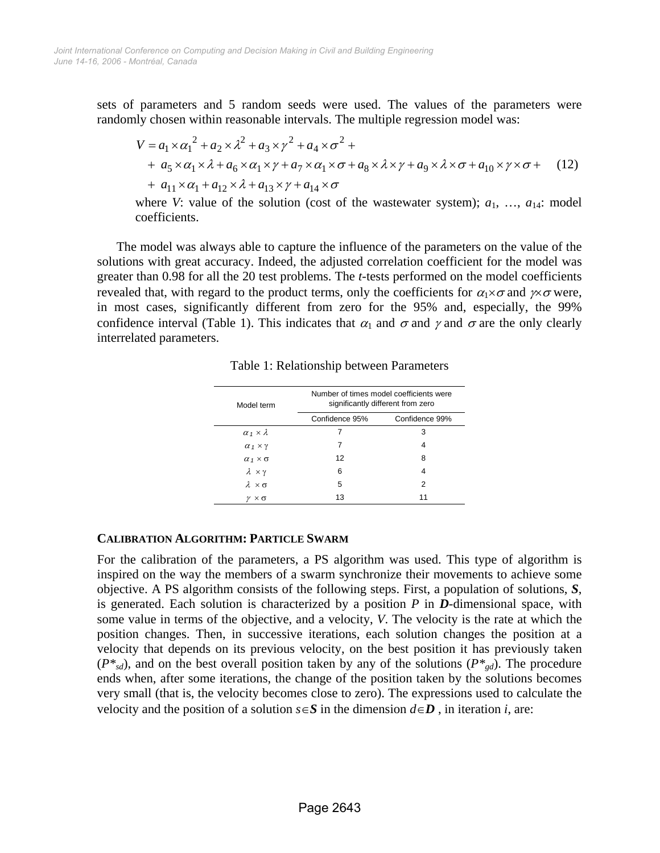sets of parameters and 5 random seeds were used. The values of the parameters were randomly chosen within reasonable intervals. The multiple regression model was:

$$
V = a_1 \times \alpha_1^2 + a_2 \times \lambda^2 + a_3 \times \gamma^2 + a_4 \times \sigma^2 +
$$
  
+  $a_5 \times \alpha_1 \times \lambda + a_6 \times \alpha_1 \times \gamma + a_7 \times \alpha_1 \times \sigma + a_8 \times \lambda \times \gamma + a_9 \times \lambda \times \sigma + a_{10} \times \gamma \times \sigma +$  (12)  
+  $a_{11} \times \alpha_1 + a_{12} \times \lambda + a_{13} \times \gamma + a_{14} \times \sigma$ 

where *V*: value of the solution (cost of the wastewater system);  $a_1, \ldots, a_{14}$ : model coefficients.

The model was always able to capture the influence of the parameters on the value of the solutions with great accuracy. Indeed, the adjusted correlation coefficient for the model was greater than 0.98 for all the 20 test problems. The *t*-tests performed on the model coefficients revealed that, with regard to the product terms, only the coefficients for  $\alpha_1 \times \sigma$  and  $\gamma \times \sigma$  were, in most cases, significantly different from zero for the 95% and, especially, the 99% confidence interval (Table 1). This indicates that  $\alpha_1$  and  $\sigma$  and  $\gamma$  and  $\sigma$  are the only clearly interrelated parameters.

| Model term                | Number of times model coefficients were<br>significantly different from zero |                |
|---------------------------|------------------------------------------------------------------------------|----------------|
|                           | Confidence 95%                                                               | Confidence 99% |
| $\alpha_1 \times \lambda$ | 7                                                                            | 3              |
| $\alpha_1 \times \gamma$  | 7                                                                            | 4              |
| $\alpha_1 \times \sigma$  | 12                                                                           | 8              |
| $\lambda \times \gamma$   | 6                                                                            | 4              |
| $\lambda \times \sigma$   | 5                                                                            | 2              |
| γ × σ                     | 13                                                                           | 11             |

Table 1: Relationship between Parameters

## **CALIBRATION ALGORITHM: PARTICLE SWARM**

For the calibration of the parameters, a PS algorithm was used. This type of algorithm is inspired on the way the members of a swarm synchronize their movements to achieve some objective. A PS algorithm consists of the following steps. First, a population of solutions, *S*, is generated. Each solution is characterized by a position *P* in *D*-dimensional space, with some value in terms of the objective, and a velocity, *V*. The velocity is the rate at which the position changes. Then, in successive iterations, each solution changes the position at a velocity that depends on its previous velocity, on the best position it has previously taken  $(P^*_{sd})$ , and on the best overall position taken by any of the solutions  $(P^*_{sd})$ . The procedure ends when, after some iterations, the change of the position taken by the solutions becomes very small (that is, the velocity becomes close to zero). The expressions used to calculate the velocity and the position of a solution  $s \in S$  in the dimension  $d \in D$ , in iteration *i*, are: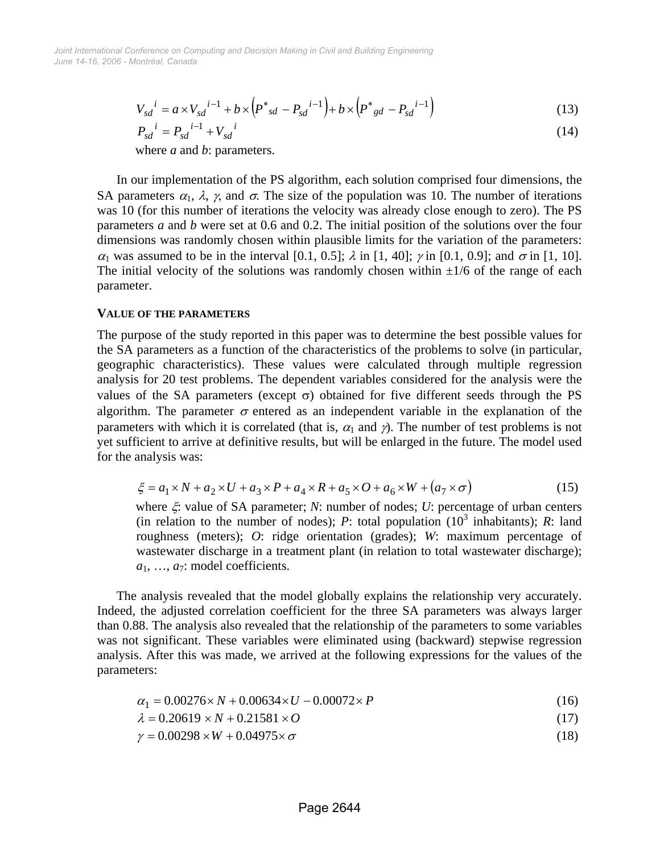$$
V_{sd}^{i} = a \times V_{sd}^{i-1} + b \times (P^*_{sd} - P_{sd}^{i-1}) + b \times (P^*_{sd} - P_{sd}^{i-1})
$$
\n(13)

$$
P_{sd}^{\ \ i} = P_{sd}^{\ \ i-1} + V_{sd}^{\ \ i} \tag{14}
$$

where *a* and *b*: parameters.

In our implementation of the PS algorithm, each solution comprised four dimensions, the SA parameters  $\alpha_1$ ,  $\lambda$ ,  $\gamma$ , and  $\sigma$ . The size of the population was 10. The number of iterations was 10 (for this number of iterations the velocity was already close enough to zero). The PS parameters *a* and *b* were set at 0.6 and 0.2. The initial position of the solutions over the four dimensions was randomly chosen within plausible limits for the variation of the parameters:  $\alpha_1$  was assumed to be in the interval [0.1, 0.5];  $\lambda$  in [1, 40];  $\gamma$  in [0.1, 0.9]; and  $\sigma$  in [1, 10]. The initial velocity of the solutions was randomly chosen within  $\pm 1/6$  of the range of each parameter.

#### **VALUE OF THE PARAMETERS**

The purpose of the study reported in this paper was to determine the best possible values for the SA parameters as a function of the characteristics of the problems to solve (in particular, geographic characteristics). These values were calculated through multiple regression analysis for 20 test problems. The dependent variables considered for the analysis were the values of the SA parameters (except σ) obtained for five different seeds through the PS algorithm. The parameter  $\sigma$  entered as an independent variable in the explanation of the parameters with which it is correlated (that is,  $\alpha_1$  and  $\gamma$ ). The number of test problems is not yet sufficient to arrive at definitive results, but will be enlarged in the future. The model used for the analysis was:

$$
\xi = a_1 \times N + a_2 \times U + a_3 \times P + a_4 \times R + a_5 \times O + a_6 \times W + (a_7 \times \sigma)
$$
\n<sup>(15)</sup>

where ξ: value of SA parameter; *N*: number of nodes; *U*: percentage of urban centers (in relation to the number of nodes); *P*: total population  $(10^3 \text{ inhabitants})$ ; *R*: land roughness (meters); *O*: ridge orientation (grades); *W*: maximum percentage of wastewater discharge in a treatment plant (in relation to total wastewater discharge);  $a_1, \ldots, a_7$ : model coefficients.

The analysis revealed that the model globally explains the relationship very accurately. Indeed, the adjusted correlation coefficient for the three SA parameters was always larger than 0.88. The analysis also revealed that the relationship of the parameters to some variables was not significant. These variables were eliminated using (backward) stepwise regression analysis. After this was made, we arrived at the following expressions for the values of the parameters:

$$
\alpha_1 = 0.00276 \times N + 0.00634 \times U - 0.00072 \times P \tag{16}
$$

$$
\lambda = 0.20619 \times N + 0.21581 \times O \tag{17}
$$

$$
\gamma = 0.00298 \times W + 0.04975 \times \sigma \tag{18}
$$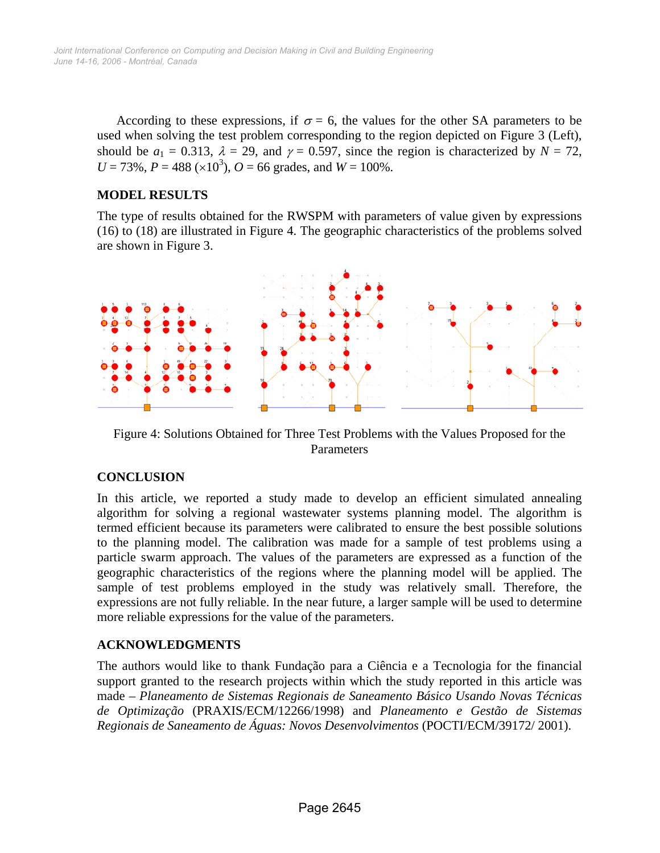According to these expressions, if  $\sigma = 6$ , the values for the other SA parameters to be used when solving the test problem corresponding to the region depicted on Figure 3 (Left), should be  $a_1 = 0.313$ ,  $\lambda = 29$ , and  $\gamma = 0.597$ , since the region is characterized by  $N = 72$ ,  $U = 73\%$ ,  $P = 488 \times 10^3$ ,  $Q = 66$  grades, and  $W = 100\%$ .

## **MODEL RESULTS**

The type of results obtained for the RWSPM with parameters of value given by expressions (16) to (18) are illustrated in Figure 4. The geographic characteristics of the problems solved are shown in Figure 3.



Figure 4: Solutions Obtained for Three Test Problems with the Values Proposed for the Parameters

# **CONCLUSION**

In this article, we reported a study made to develop an efficient simulated annealing algorithm for solving a regional wastewater systems planning model. The algorithm is termed efficient because its parameters were calibrated to ensure the best possible solutions to the planning model. The calibration was made for a sample of test problems using a particle swarm approach. The values of the parameters are expressed as a function of the geographic characteristics of the regions where the planning model will be applied. The sample of test problems employed in the study was relatively small. Therefore, the expressions are not fully reliable. In the near future, a larger sample will be used to determine more reliable expressions for the value of the parameters.

## **ACKNOWLEDGMENTS**

The authors would like to thank Fundação para a Ciência e a Tecnologia for the financial support granted to the research projects within which the study reported in this article was made – *Planeamento de Sistemas Regionais de Saneamento Básico Usando Novas Técnicas de Optimização* (PRAXIS/ECM/12266/1998) and *Planeamento e Gestão de Sistemas Regionais de Saneamento de Águas: Novos Desenvolvimentos* (POCTI/ECM/39172/ 2001).